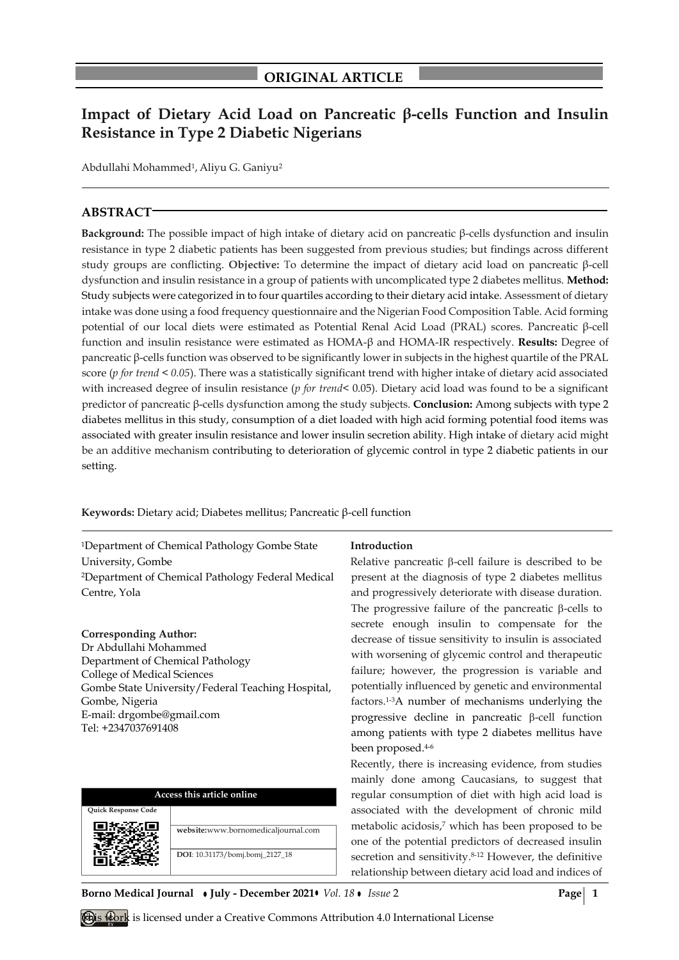# **Impact of Dietary Acid Load on Pancreatic β-cells Function and Insulin Resistance in Type 2 Diabetic Nigerians**

Abdullahi Mohammed<sup>1</sup>, Aliyu G. Ganiyu<sup>2</sup>

# **ABSTRACT**

**Background:** The possible impact of high intake of dietary acid on pancreatic β-cells dysfunction and insulin resistance in type 2 diabetic patients has been suggested from previous studies; but findings across different study groups are conflicting. **Objective:** To determine the impact of dietary acid load on pancreatic β-cell dysfunction and insulin resistance in a group of patients with uncomplicated type 2 diabetes mellitus. **Method:** Study subjects were categorized in to four quartiles according to their dietary acid intake. Assessment of dietary intake was done using a food frequency questionnaire and the Nigerian Food Composition Table. Acid forming potential of our local diets were estimated as Potential Renal Acid Load (PRAL) scores. Pancreatic β-cell function and insulin resistance were estimated as HOMA-β and HOMA-IR respectively. **Results:** Degree of pancreatic β-cells function was observed to be significantly lower in subjects in the highest quartile of the PRAL score (*p for trend < 0.05*). There was a statistically significant trend with higher intake of dietary acid associated with increased degree of insulin resistance (*p for trend*< 0.05). Dietary acid load was found to be a significant predictor of pancreatic β-cells dysfunction among the study subjects. **Conclusion:** Among subjects with type 2 diabetes mellitus in this study, consumption of a diet loaded with high acid forming potential food items was associated with greater insulin resistance and lower insulin secretion ability. High intake of dietary acid might be an additive mechanism contributing to deterioration of glycemic control in type 2 diabetic patients in our setting.

**Keywords:** Dietary acid; Diabetes mellitus; Pancreatic β-cell function

<sup>1</sup>Department of Chemical Pathology Gombe State University, Gombe <sup>2</sup>Department of Chemical Pathology Federal Medical Centre, Yola

## **Corresponding Author:**

Dr Abdullahi Mohammed Department of Chemical Pathology College of Medical Sciences Gombe State University/Federal Teaching Hospital, Gombe, Nigeria E-mail: drgombe@gmail.com Tel: +2347037691408

| Access this article online |                                     |  |  |  |  |
|----------------------------|-------------------------------------|--|--|--|--|
| <b>Ouick Response Code</b> |                                     |  |  |  |  |
|                            | website:www.bornomedicaljournal.com |  |  |  |  |
|                            | DOI: 10.31173/bomj.bomj_2127_18     |  |  |  |  |

## **Introduction**

Relative pancreatic  $\beta$ -cell failure is described to be present at the diagnosis of type 2 diabetes mellitus and progressively deteriorate with disease duration. The progressive failure of the pancreatic  $\beta$ -cells to secrete enough insulin to compensate for the decrease of tissue sensitivity to insulin is associated with worsening of glycemic control and therapeutic failure; however, the progression is variable and potentially influenced by genetic and environmental factors.1-3A number of mechanisms underlying the progressive decline in pancreatic  $\beta$ -cell function among patients with type 2 diabetes mellitus have been proposed.4-6

Recently, there is increasing evidence, from studies mainly done among Caucasians, to suggest that regular consumption of diet with high acid load is associated with the development of chronic mild metabolic acidosis,<sup>7</sup> which has been proposed to be one of the potential predictors of decreased insulin secretion and sensitivity. 8-12 However, the definitive relationship between dietary acid load and indices of

**Borno Medical Journal • July - December 2021•** *Vol. 18* • *Issue* 2 **Page** 1

This work is licensed under a Creative Commons Attribution 4.0 International License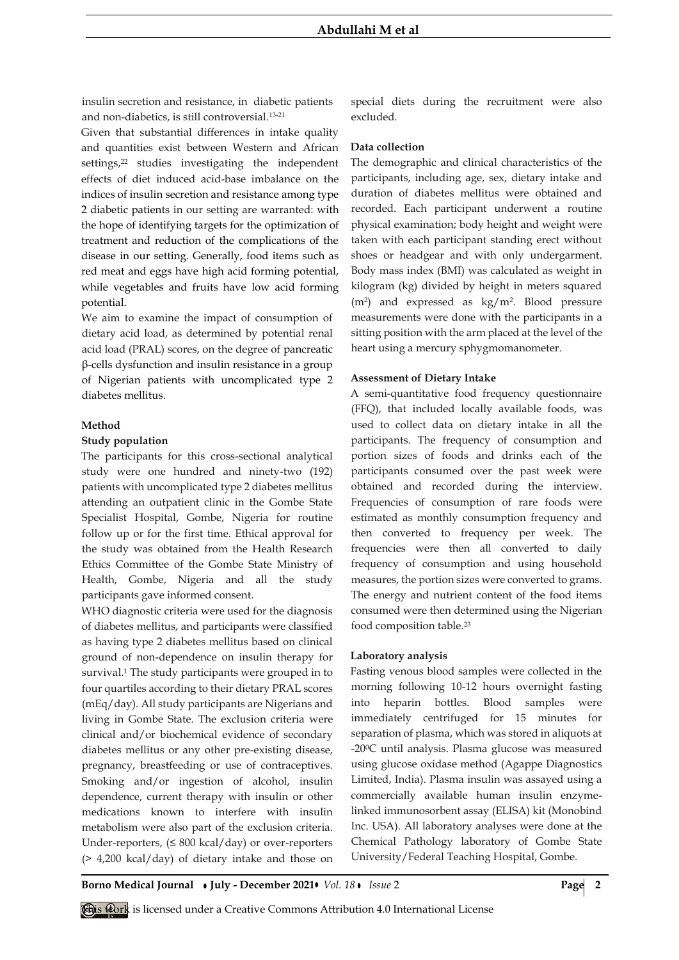insulin secretion and resistance, in diabetic patients and non-diabetics, is still controversial.13-21

Given that substantial differences in intake quality and quantities exist between Western and African settings,<sup>22</sup> studies investigating the independent effects of diet induced acid-base imbalance on the indices of insulin secretion and resistance among type 2 diabetic patients in our setting are warranted: with the hope of identifying targets for the optimization of treatment and reduction of the complications of the disease in our setting. Generally, food items such as red meat and eggs have high acid forming potential, while vegetables and fruits have low acid forming potential.

We aim to examine the impact of consumption of dietary acid load, as determined by potential renal acid load (PRAL) scores, on the degree of pancreatic β-cells dysfunction and insulin resistance in a group of Nigerian patients with uncomplicated type 2 diabetes mellitus.

#### **Method**

#### **Study population**

The participants for this cross-sectional analytical study were one hundred and ninety-two (192) patients with uncomplicated type 2 diabetes mellitus attending an outpatient clinic in the Gombe State Specialist Hospital, Gombe, Nigeria for routine follow up or for the first time. Ethical approval for the study was obtained from the Health Research Ethics Committee of the Gombe State Ministry of Health, Gombe, Nigeria and all the study participants gave informed consent.

WHO diagnostic criteria were used for the diagnosis of diabetes mellitus, and participants were classified as having type 2 diabetes mellitus based on clinical ground of non-dependence on insulin therapy for survival.<sup>1</sup> The study participants were grouped in to four quartiles according to their dietary PRAL scores (mEq/day). All study participants are Nigerians and living in Gombe State. The exclusion criteria were clinical and/or biochemical evidence of secondary diabetes mellitus or any other pre-existing disease, pregnancy, breastfeeding or use of contraceptives. Smoking and/or ingestion of alcohol, insulin dependence, current therapy with insulin or other medications known to interfere with insulin metabolism were also part of the exclusion criteria. Under-reporters,  $(\leq 800 \text{ kcal/day})$  or over-reporters (> 4,200 kcal/day) of dietary intake and those on special diets during the recruitment were also excluded.

#### **Data collection**

The demographic and clinical characteristics of the participants, including age, sex, dietary intake and duration of diabetes mellitus were obtained and recorded. Each participant underwent a routine physical examination; body height and weight were taken with each participant standing erect without shoes or headgear and with only undergarment. Body mass index (BMI) was calculated as weight in kilogram (kg) divided by height in meters squared (m<sup>2</sup> ) and expressed as kg/m<sup>2</sup> . Blood pressure measurements were done with the participants in a sitting position with the arm placed at the level of the heart using a mercury sphygmomanometer.

#### **Assessment of Dietary Intake**

A semi-quantitative food frequency questionnaire (FFQ), that included locally available foods, was used to collect data on dietary intake in all the participants. The frequency of consumption and portion sizes of foods and drinks each of the participants consumed over the past week were obtained and recorded during the interview. Frequencies of consumption of rare foods were estimated as monthly consumption frequency and then converted to frequency per week. The frequencies were then all converted to daily frequency of consumption and using household measures, the portion sizes were converted to grams. The energy and nutrient content of the food items consumed were then determined using the Nigerian food composition table.<sup>23</sup>

#### **Laboratory analysis**

Fasting venous blood samples were collected in the morning following 10-12 hours overnight fasting into heparin bottles. Blood samples were immediately centrifuged for 15 minutes for separation of plasma, which was stored in aliquots at -200C until analysis. Plasma glucose was measured using glucose oxidase method (Agappe Diagnostics Limited, India). Plasma insulin was assayed using a commercially available human insulin enzymelinked immunosorbent assay (ELISA) kit (Monobind Inc. USA). All laboratory analyses were done at the Chemical Pathology laboratory of Gombe State University/Federal Teaching Hospital, Gombe.

**Borno Medical Journal • July - December 2021•** *Vol.* 18 • *Issue* 2 **Page 2 Page 2** 

This work is licensed under a Creative Commons Attribution 4.0 International License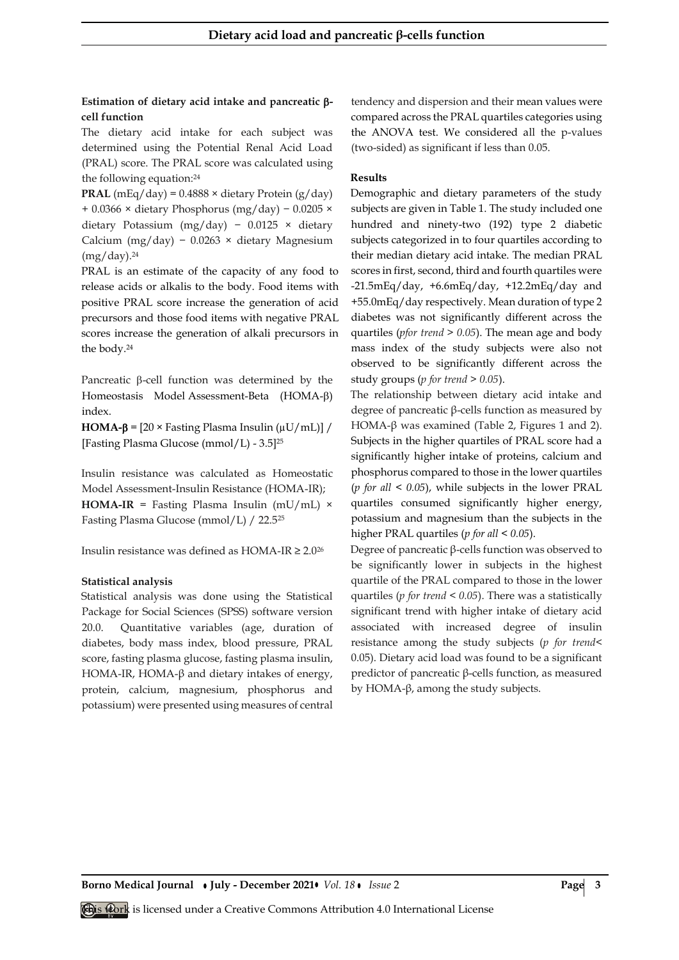## **Estimation of dietary acid intake and pancreatic cell function**

The dietary acid intake for each subject was determined using the Potential Renal Acid Load (PRAL) score. The PRAL score was calculated using the following equation:<sup>24</sup>

**PRAL** (mEq/day) =  $0.4888 \times$  dietary Protein (g/day) + 0.0366 × dietary Phosphorus (mg/day) − 0.0205 × dietary Potassium (mg/day) − 0.0125 × dietary Calcium (mg/day) − 0.0263 × dietary Magnesium (mg/day).<sup>24</sup>

PRAL is an estimate of the capacity of any food to release acids or alkalis to the body. Food items with positive PRAL score increase the generation of acid precursors and those food items with negative PRAL scores increase the generation of alkali precursors in the body.<sup>24</sup>

Pancreatic  $\beta$ -cell function was determined by the Homeostasis Model Assessment-Beta (HOMA-B) index.

**HOMA-β** =  $[20 \times$  Fasting Plasma Insulin ( $\mu$ U/mL)] / [Fasting Plasma Glucose (mmol/L) - 3.5]<sup>25</sup>

Insulin resistance was calculated as Homeostatic Model Assessment-Insulin Resistance (HOMA-IR);

**HOMA-IR** = Fasting Plasma Insulin (mU/mL)  $\times$ Fasting Plasma Glucose (mmol/L) / 22.5<sup>25</sup>

Insulin resistance was defined as HOMA-IR  $\geq 2.0^{26}$ 

## **Statistical analysis**

Statistical analysis was done using the Statistical Package for Social Sciences (SPSS) software version 20.0. Quantitative variables (age, duration of diabetes, body mass index, blood pressure, PRAL score, fasting plasma glucose, fasting plasma insulin, HOMA-IR, HOMA-β and dietary intakes of energy, protein, calcium, magnesium, phosphorus and potassium) were presented using measures of central tendency and dispersion and their mean values were compared across the PRAL quartiles categories using the ANOVA test. We considered all the p-values (two-sided) as significant if less than 0.05.

## **Results**

Demographic and dietary parameters of the study subjects are given in Table 1. The study included one hundred and ninety-two (192) type 2 diabetic subjects categorized in to four quartiles according to their median dietary acid intake. The median PRAL scores in first, second, third and fourth quartiles were  $-21.5$ mEq/day,  $+6.6$ mEq/day,  $+12.2$ mEq/day and +55.0mEq/day respectively. Mean duration of type 2 diabetes was not significantly different across the quartiles (*pfor trend > 0.05*). The mean age and body mass index of the study subjects were also not observed to be significantly different across the study groups (*p for trend > 0.05*).

The relationship between dietary acid intake and degree of pancreatic β-cells function as measured by HOMA- $β$  was examined (Table 2, Figures 1 and 2). Subjects in the higher quartiles of PRAL score had a significantly higher intake of proteins, calcium and phosphorus compared to those in the lower quartiles (*p for all < 0.05*), while subjects in the lower PRAL quartiles consumed significantly higher energy, potassium and magnesium than the subjects in the higher PRAL quartiles (*p for all < 0.05*).

Degree of pancreatic β-cells function was observed to be significantly lower in subjects in the highest quartile of the PRAL compared to those in the lower quartiles (*p for trend < 0.05*). There was a statistically significant trend with higher intake of dietary acid associated with increased degree of insulin resistance among the study subjects (*p for trend*< 0.05). Dietary acid load was found to be a significant predictor of pancreatic β-cells function, as measured by HOMA-β, among the study subjects.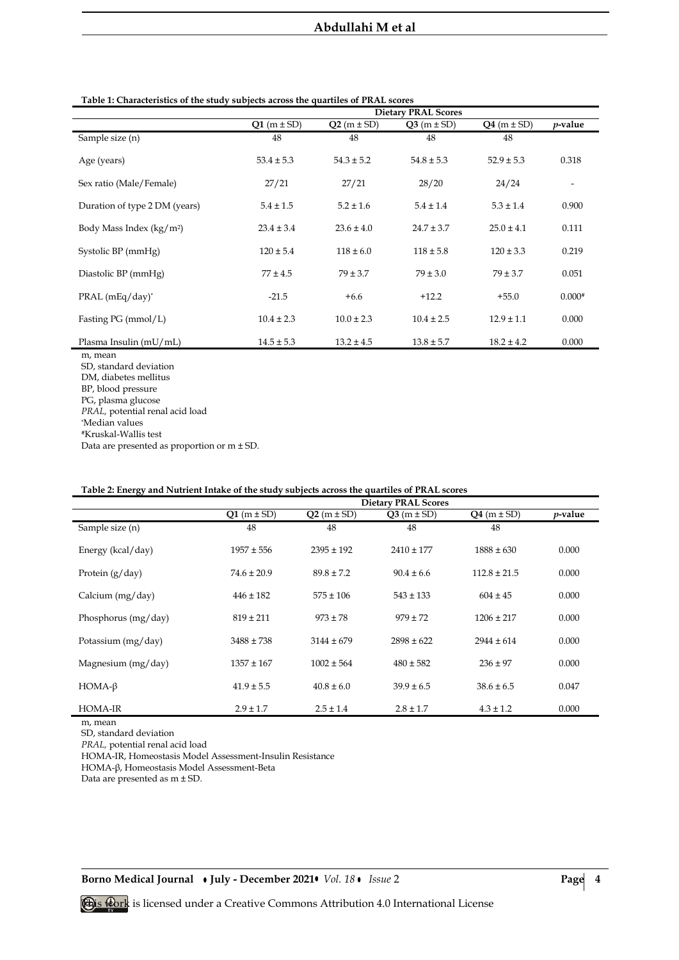# **Abdullahi M et al**

|                               | <b>Dietary PRAL Scores</b> |                |                |                |                          |  |  |
|-------------------------------|----------------------------|----------------|----------------|----------------|--------------------------|--|--|
|                               | $Q1(m \pm SD)$             | $Q2(m \pm SD)$ | $Q3(m \pm SD)$ | $Q4(m \pm SD)$ | $p$ -value               |  |  |
| Sample size (n)               | 48                         | 48             | 48             | 48             |                          |  |  |
| Age (years)                   | $53.4 \pm 5.3$             | $54.3 \pm 5.2$ | $54.8 \pm 5.3$ | $52.9 \pm 5.3$ | 0.318                    |  |  |
| Sex ratio (Male/Female)       | 27/21                      | 27/21          | 28/20          | 24/24          | $\overline{\phantom{a}}$ |  |  |
| Duration of type 2 DM (years) | $5.4 \pm 1.5$              | $5.2 \pm 1.6$  | $5.4 \pm 1.4$  | $5.3 \pm 1.4$  | 0.900                    |  |  |
| Body Mass Index $(kg/m^2)$    | $23.4 \pm 3.4$             | $23.6 \pm 4.0$ | $24.7 \pm 3.7$ | $25.0 \pm 4.1$ | 0.111                    |  |  |
| Systolic BP (mmHg)            | $120 \pm 5.4$              | $118 \pm 6.0$  | $118 \pm 5.8$  | $120 \pm 3.3$  | 0.219                    |  |  |
| Diastolic BP (mmHg)           | $77 \pm 4.5$               | $79 \pm 3.7$   | $79 \pm 3.0$   | $79 \pm 3.7$   | 0.051                    |  |  |
| $PRAL$ (mEq/day) <sup>*</sup> | $-21.5$                    | $+6.6$         | $+12.2$        | $+55.0$        | $0.000*$                 |  |  |
| Fasting PG (mmol/L)           | $10.4 \pm 2.3$             | $10.0 \pm 2.3$ | $10.4 \pm 2.5$ | $12.9 \pm 1.1$ | 0.000                    |  |  |
| Plasma Insulin (mU/mL)        | $14.5 \pm 5.3$             | $13.2 \pm 4.5$ | $13.8 \pm 5.7$ | $18.2 \pm 4.2$ | 0.000                    |  |  |

#### **Table 1: Characteristics of the study subjects across the quartiles of PRAL scores**

m, mean SD, standard deviation DM, diabetes mellitus BP, blood pressure PG, plasma glucose

*PRAL,* potential renal acid load \*Median values

Data are presented as proportion or m ± SD.

|                     | <b>Dietary PRAL Scores</b> |                |                |                  |            |  |  |
|---------------------|----------------------------|----------------|----------------|------------------|------------|--|--|
|                     | $Q1(m \pm SD)$             | $Q2(m \pm SD)$ | $Q3(m \pm SD)$ | $Q4(m \pm SD)$   | $p$ -value |  |  |
| Sample size (n)     | 48                         | 48             | 48             | 48               |            |  |  |
| Energy (kcal/day)   | $1957 \pm 556$             | $2395 \pm 192$ | $2410 \pm 177$ | $1888 \pm 630$   | 0.000      |  |  |
| Protein $(g/day)$   | $74.6 \pm 20.9$            | $89.8 \pm 7.2$ | $90.4 \pm 6.6$ | $112.8 \pm 21.5$ | 0.000      |  |  |
| Calcium (mg/day)    | $446 \pm 182$              | $575 \pm 106$  | $543 \pm 133$  | $604 \pm 45$     | 0.000      |  |  |
| Phosphorus (mg/day) | $819 \pm 211$              | $973 \pm 78$   | $979 \pm 72$   | $1206 \pm 217$   | 0.000      |  |  |
| Potassium (mg/day)  | $3488 \pm 738$             | $3144 \pm 679$ | $2898 \pm 622$ | $2944 \pm 614$   | 0.000      |  |  |
| Magnesium (mg/day)  | $1357 \pm 167$             | $1002 \pm 564$ | $480 \pm 582$  | $236 \pm 97$     | 0.000      |  |  |
| $HOMA-\beta$        | $41.9 \pm 5.5$             | $40.8 \pm 6.0$ | $39.9 \pm 6.5$ | $38.6 \pm 6.5$   | 0.047      |  |  |
| HOMA-IR             | $2.9 \pm 1.7$              | $2.5 \pm 1.4$  | $2.8 \pm 1.7$  | $4.3 \pm 1.2$    | 0.000      |  |  |

## **Table 2: Energy and Nutrient Intake of the study subjects across the quartiles of PRAL scores**

m, mean

SD, standard deviation

*PRAL,* potential renal acid load

HOMA-IR, Homeostasis Model Assessment-Insulin Resistance

HOMA-β, Homeostasis Model Assessment-Beta

Data are presented as m ± SD.

**Borno Medical Journal • July - December 2021•** *Vol. 18* • *Issue* 2 **Page** 4

<sup>#</sup>Kruskal-Wallis test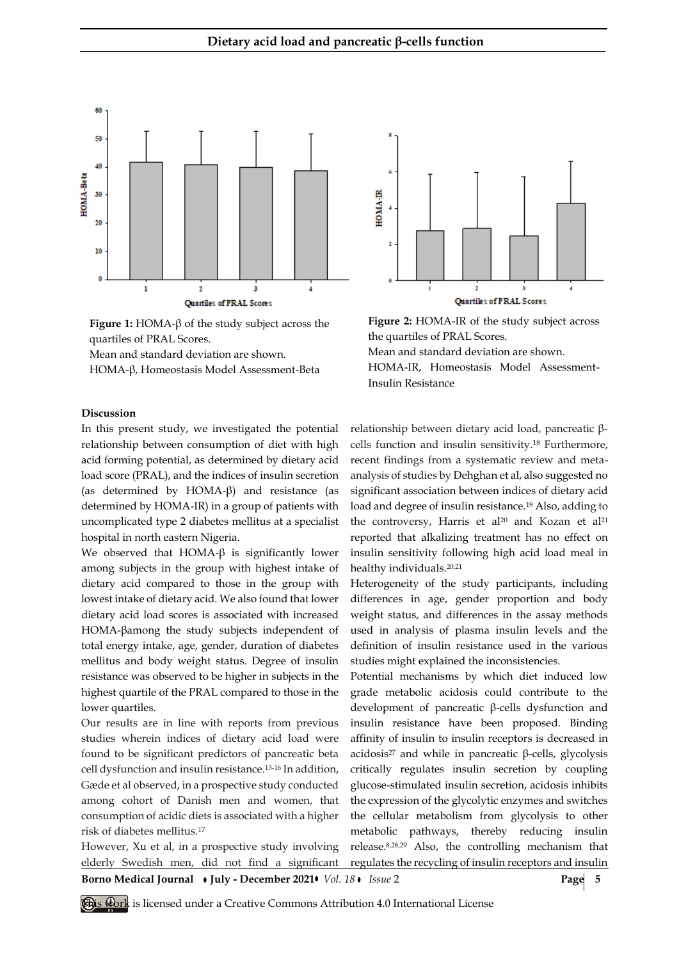

**Figure 1:** HOMA-β of the study subject across the quartiles of PRAL Scores.

Mean and standard deviation are shown.

HOMA-β, Homeostasis Model Assessment-Beta



the quartiles of PRAL Scores. Mean and standard deviation are shown. HOMA-IR, Homeostasis Model Assessment-Insulin Resistance

## **Discussion**

In this present study, we investigated the potential relationship between consumption of diet with high acid forming potential, as determined by dietary acid load score (PRAL), and the indices of insulin secretion (as determined by HOMA-β) and resistance (as determined by HOMA-IR) in a group of patients with uncomplicated type 2 diabetes mellitus at a specialist hospital in north eastern Nigeria.

We observed that HOMA-β is significantly lower among subjects in the group with highest intake of dietary acid compared to those in the group with lowest intake of dietary acid. We also found that lower dietary acid load scores is associated with increased HOMA-βamong the study subjects independent of total energy intake, age, gender, duration of diabetes mellitus and body weight status. Degree of insulin resistance was observed to be higher in subjects in the highest quartile of the PRAL compared to those in the lower quartiles.

Our results are in line with reports from previous studies wherein indices of dietary acid load were found to be significant predictors of pancreatic beta cell dysfunction and insulin resistance.13-16 In addition, Gæde et al observed, in a prospective study conducted among cohort of Danish men and women, that consumption of acidic diets is associated with a higher risk of diabetes mellitus.<sup>17</sup>

However, Xu et al, in a prospective study involving elderly Swedish men, did not find a significant relationship between dietary acid load, pancreatic βcells function and insulin sensitivity.<sup>18</sup> Furthermore, recent findings from a systematic review and metaanalysis of studies by Dehghan et al, also suggested no significant association between indices of dietary acid load and degree of insulin resistance.<sup>19</sup> Also, adding to the controversy, Harris et al<sup>20</sup> and Kozan et al<sup>21</sup> reported that alkalizing treatment has no effect on insulin sensitivity following high acid load meal in healthy individuals.20,21

Heterogeneity of the study participants, including differences in age, gender proportion and body weight status, and differences in the assay methods used in analysis of plasma insulin levels and the definition of insulin resistance used in the various studies might explained the inconsistencies.

Potential mechanisms by which diet induced low grade metabolic acidosis could contribute to the development of pancreatic β-cells dysfunction and insulin resistance have been proposed. Binding affinity of insulin to insulin receptors is decreased in acidosis<sup>27</sup> and while in pancreatic β-cells, glycolysis critically regulates insulin secretion by coupling glucose-stimulated insulin secretion, acidosis inhibits the expression of the glycolytic enzymes and switches the cellular metabolism from glycolysis to other metabolic pathways, thereby reducing insulin release.8,28,29 Also, the controlling mechanism that regulates the recycling of insulin receptors and insulin

**Borno Medical Journal • July - December 2021 •** *Vol. 18* • *Issue* 2 **Page 5**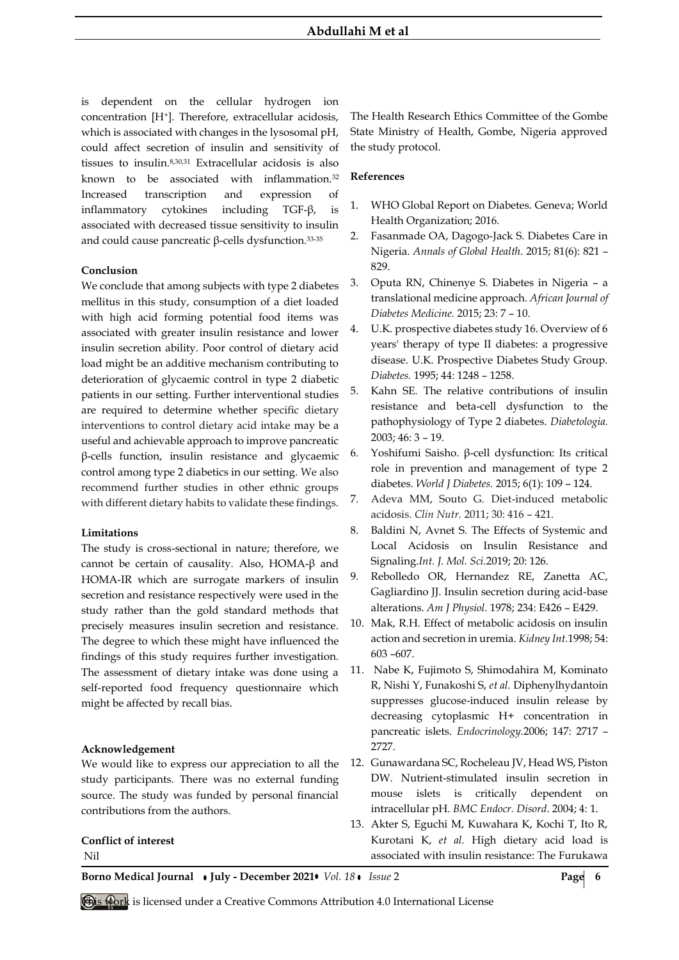is dependent on the cellular hydrogen ion concentration [H+]. Therefore, extracellular acidosis, which is associated with changes in the lysosomal pH, could affect secretion of insulin and sensitivity of tissues to insulin.8,30,31 Extracellular acidosis is also known to be associated with inflammation.<sup>32</sup> Increased transcription and expression of inflammatory cytokines including TGF-β, is associated with decreased tissue sensitivity to insulin and could cause pancreatic β-cells dysfunction.33-35

## **Conclusion**

We conclude that among subjects with type 2 diabetes mellitus in this study, consumption of a diet loaded with high acid forming potential food items was associated with greater insulin resistance and lower insulin secretion ability. Poor control of dietary acid load might be an additive mechanism contributing to deterioration of glycaemic control in type 2 diabetic patients in our setting. Further interventional studies are required to determine whether specific dietary interventions to control dietary acid intake may be a useful and achievable approach to improve pancreatic β-cells function, insulin resistance and glycaemic control among type 2 diabetics in our setting. We also recommend further studies in other ethnic groups with different dietary habits to validate these findings.

#### **Limitations**

The study is cross-sectional in nature; therefore, we cannot be certain of causality. Also, HOMA-β and HOMA-IR which are surrogate markers of insulin secretion and resistance respectively were used in the study rather than the gold standard methods that precisely measures insulin secretion and resistance. The degree to which these might have influenced the findings of this study requires further investigation. The assessment of dietary intake was done using a self-reported food frequency questionnaire which might be affected by recall bias.

## **Acknowledgement**

We would like to express our appreciation to all the study participants. There was no external funding source. The study was funded by personal financial contributions from the authors.

# **Conflict of interest**

Nil

The Health Research Ethics Committee of the Gombe State Ministry of Health, Gombe, Nigeria approved the study protocol.

## **References**

- 1. WHO Global Report on Diabetes. Geneva; World Health Organization; 2016.
- 2. Fasanmade OA, Dagogo-Jack S. Diabetes Care in Nigeria. *Annals of Global Health.* 2015; 81(6): 821 – 829.
- 3. Oputa RN, Chinenye S. Diabetes in Nigeria a translational medicine approach*. African Journal of Diabetes Medicine.* 2015; 23: 7 – 10.
- 4. U.K. prospective diabetes study 16. Overview of 6 years' therapy of type II diabetes: a progressive disease. U.K. Prospective Diabetes Study Group. *Diabetes.* 1995; 44: 1248 – 1258.
- 5. Kahn SE. The relative contributions of insulin resistance and beta-cell dysfunction to the pathophysiology of Type 2 diabetes. *Diabetologia.* 2003; 46: 3 – 19.
- 6. Yoshifumi Saisho. β-cell dysfunction: Its critical role in prevention and management of type 2 diabetes. *World J Diabetes.* 2015; 6(1): 109 – 124.
- 7. Adeva MM, Souto G. Diet-induced metabolic acidosis. *Clin Nutr.* 2011; 30: 416 – 421.
- 8. Baldini N, Avnet S. The Effects of Systemic and Local Acidosis on Insulin Resistance and Signaling.*Int. J. Mol. Sci.*2019; 20: 126.
- 9. Rebolledo OR, Hernandez RE, Zanetta AC, Gagliardino JJ. Insulin secretion during acid-base alterations. *Am J Physiol.* 1978; 234: E426 – E429.
- 10. Mak, R.H. Effect of metabolic acidosis on insulin action and secretion in uremia. *Kidney Int.*1998; 54: 603 –607.
- 11. Nabe K, Fujimoto S, Shimodahira M, Kominato R, Nishi Y, Funakoshi S, *et al.* Diphenylhydantoin suppresses glucose-induced insulin release by decreasing cytoplasmic H+ concentration in pancreatic islets. *Endocrinology.*2006; 147: 2717 – 2727.
- 12. Gunawardana SC, Rocheleau JV, Head WS, Piston DW. Nutrient-stimulated insulin secretion in mouse islets is critically dependent on intracellular pH. *BMC Endocr. Disord*. 2004; 4: 1.
- 13. Akter S, Eguchi M, Kuwahara K, Kochi T, Ito R, Kurotani K, *et al.* High dietary acid load is associated with insulin resistance: The Furukawa

**Borno Medical Journal • July - December 2021 •** *Vol. 18* **•** *Issue* **2 <b>Page 6** 

**This work** is licensed under a Creative Commons Attribution 4.0 International License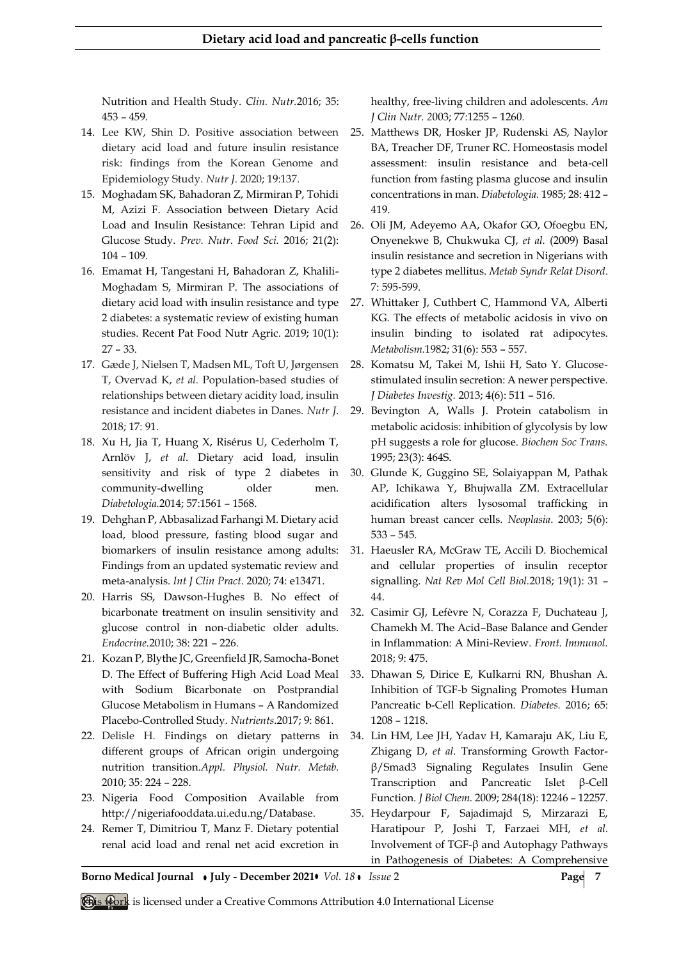Nutrition and Health Study. *Clin. Nutr.*2016; 35: 453 – 459.

- 14. Lee KW, Shin D. Positive association between dietary acid load and future insulin resistance risk: findings from the Korean Genome and Epidemiology Study. *Nutr J*. 2020; 19:137.
- 15. Moghadam SK, Bahadoran Z, Mirmiran P, Tohidi M, Azizi F. Association between Dietary Acid Load and Insulin Resistance: Tehran Lipid and Glucose Study. *Prev. Nutr. Food Sci.* 2016; 21(2): 104 – 109.
- 16. Emamat H, Tangestani H, Bahadoran Z, Khalili-Moghadam S, Mirmiran P. The associations of dietary acid load with insulin resistance and type 2 diabetes: a systematic review of existing human studies. Recent Pat Food Nutr Agric. 2019; 10(1): 27 – 33.
- 17. Gæde J, Nielsen T, Madsen ML, Toft U, Jørgensen T, Overvad K, *et al.* Population-based studies of relationships between dietary acidity load, insulin resistance and incident diabetes in Danes. *Nutr J*. 2018; 17: 91.
- 18. Xu H, Jia T, Huang X, Risérus U, Cederholm T, Arnlöv J, *et al.* Dietary acid load, insulin sensitivity and risk of type 2 diabetes in community-dwelling older men. *Diabetologia.*2014; 57:1561 – 1568.
- 19. Dehghan P, Abbasalizad Farhangi M. Dietary acid load, blood pressure, fasting blood sugar and biomarkers of insulin resistance among adults: Findings from an updated systematic review and meta-analysis. *Int J Clin Pract*. 2020; 74: e13471.
- 20. Harris SS, Dawson-Hughes B. No effect of bicarbonate treatment on insulin sensitivity and glucose control in non-diabetic older adults. *Endocrine.*2010; 38: 221 – 226.
- 21. Kozan P, Blythe JC, Greenfield JR, Samocha-Bonet D. The Effect of Buffering High Acid Load Meal with Sodium Bicarbonate on Postprandial Glucose Metabolism in Humans – A Randomized Placebo-Controlled Study. *Nutrients*.2017; 9: 861.
- 22. Delisle H. Findings on dietary patterns in different groups of African origin undergoing nutrition transition.*Appl. Physiol. Nutr. Metab.* 2010; 35: 224 – 228.
- 23. Nigeria Food Composition Available from http://nigeriafooddata.ui.edu.ng/Database.
- 24. Remer T, Dimitriou T, Manz F. Dietary potential renal acid load and renal net acid excretion in

healthy, free-living children and adolescents. *Am J Clin Nutr. 2*003; 77:1255 – 1260.

- 25. Matthews DR, Hosker JP, Rudenski AS, Naylor BA, Treacher DF, Truner RC. Homeostasis model assessment: insulin resistance and beta-cell function from fasting plasma glucose and insulin concentrations in man. *Diabetologia.* 1985; 28: 412 – 419.
- 26. Oli JM, Adeyemo AA, Okafor GO, Ofoegbu EN, Onyenekwe B, Chukwuka CJ, *et al.* (2009) Basal insulin resistance and secretion in Nigerians with type 2 diabetes mellitus. *Metab Syndr Relat Disord*. 7: 595‑599.
- 27. Whittaker J, Cuthbert C, Hammond VA, Alberti KG. The effects of metabolic acidosis in vivo on insulin binding to isolated rat adipocytes. *Metabolism.*1982; 31(6): 553 – 557.
- 28. Komatsu M, Takei M, Ishii H, Sato Y. Glucosestimulated insulin secretion: A newer perspective. *J Diabetes Investig.* 2013; 4(6): 511 – 516.
- 29. Bevington A, Walls J. Protein catabolism in metabolic acidosis: inhibition of glycolysis by low pH suggests a role for glucose. *Biochem Soc Trans.* 1995; 23(3): 464S.
- 30. Glunde K, Guggino SE, Solaiyappan M, Pathak AP, Ichikawa Y, Bhujwalla ZM. Extracellular acidification alters lysosomal trafficking in human breast cancer cells. *Neoplasia*. 2003; 5(6): 533 – 545.
- 31. Haeusler RA, McGraw TE, Accili D. Biochemical and cellular properties of insulin receptor signalling. *Nat Rev Mol Cell Biol.*2018; 19(1): 31 – 44.
- 32. Casimir GJ, Lefèvre N, Corazza F, Duchateau J, Chamekh M. The Acid–Base Balance and Gender in Inflammation: A Mini-Review. *Front. Immunol.* 2018; 9: 475.
- 33. Dhawan S, Dirice E, Kulkarni RN, Bhushan A. Inhibition of TGF-b Signaling Promotes Human Pancreatic b-Cell Replication. *Diabetes.* 2016; 65: 1208 – 1218.
- 34. Lin HM, Lee JH, Yadav H, Kamaraju AK, Liu E, Zhigang D, *et al.* Transforming Growth Factorβ/Smad3 Signaling Regulates Insulin Gene Transcription and Pancreatic Islet β-Cell Function. *J Biol Chem.* 2009; 284(18): 12246 – 12257.
- 35. Heydarpour F, Sajadimajd S, Mirzarazi E, Haratipour P, Joshi T, Farzaei MH, *et al.* Involvement of TGF-β and Autophagy Pathways in Pathogenesis of Diabetes: A Comprehensive

**Borno Medical Journal • July - December 2021•** *Vol. 18* • *Issue* 2 **Page 7** 

**This Work** is licensed under a Creative Commons Attribution 4.0 International License